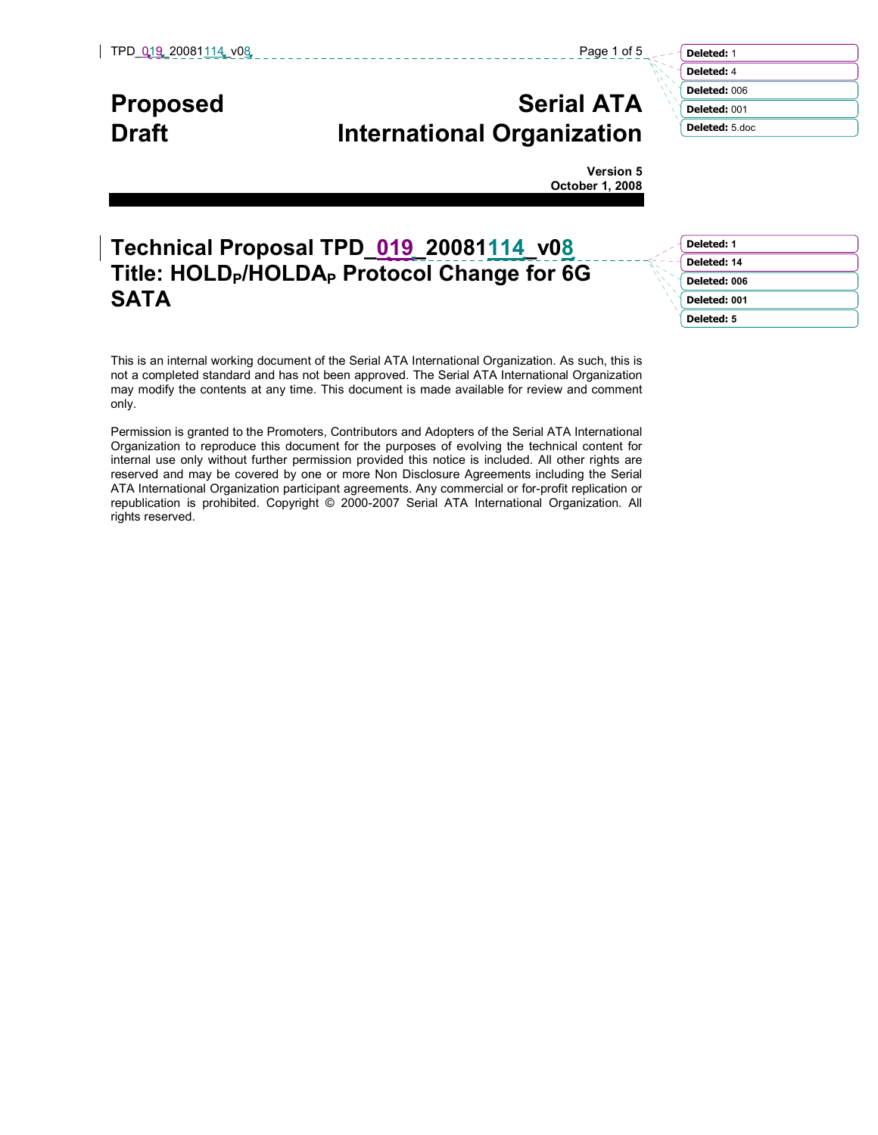# Proposed Serial ATA Draft **International Organization**

Deleted: 1 Deleted: 4 Deleted: 006 Deleted: 001 Deleted: 5.doc

Version 5 October 1, 2008

# Technical Proposal TPD\_019\_20081114\_v08 Title: HOLD<sub>P</sub>/HOLDA<sub>P</sub> Protocol Change for 6G SATA

| Deleted: 1   |
|--------------|
|              |
| Deleted: 14  |
| Deleted: 006 |
| Deleted: 001 |
| Deleted: 5   |

This is an internal working document of the Serial ATA International Organization. As such, this is not a completed standard and has not been approved. The Serial ATA International Organization may modify the contents at any time. This document is made available for review and comment only.

Permission is granted to the Promoters, Contributors and Adopters of the Serial ATA International Organization to reproduce this document for the purposes of evolving the technical content for internal use only without further permission provided this notice is included. All other rights are reserved and may be covered by one or more Non Disclosure Agreements including the Serial ATA International Organization participant agreements. Any commercial or for-profit replication or republication is prohibited. Copyright © 2000-2007 Serial ATA International Organization. All rights reserved.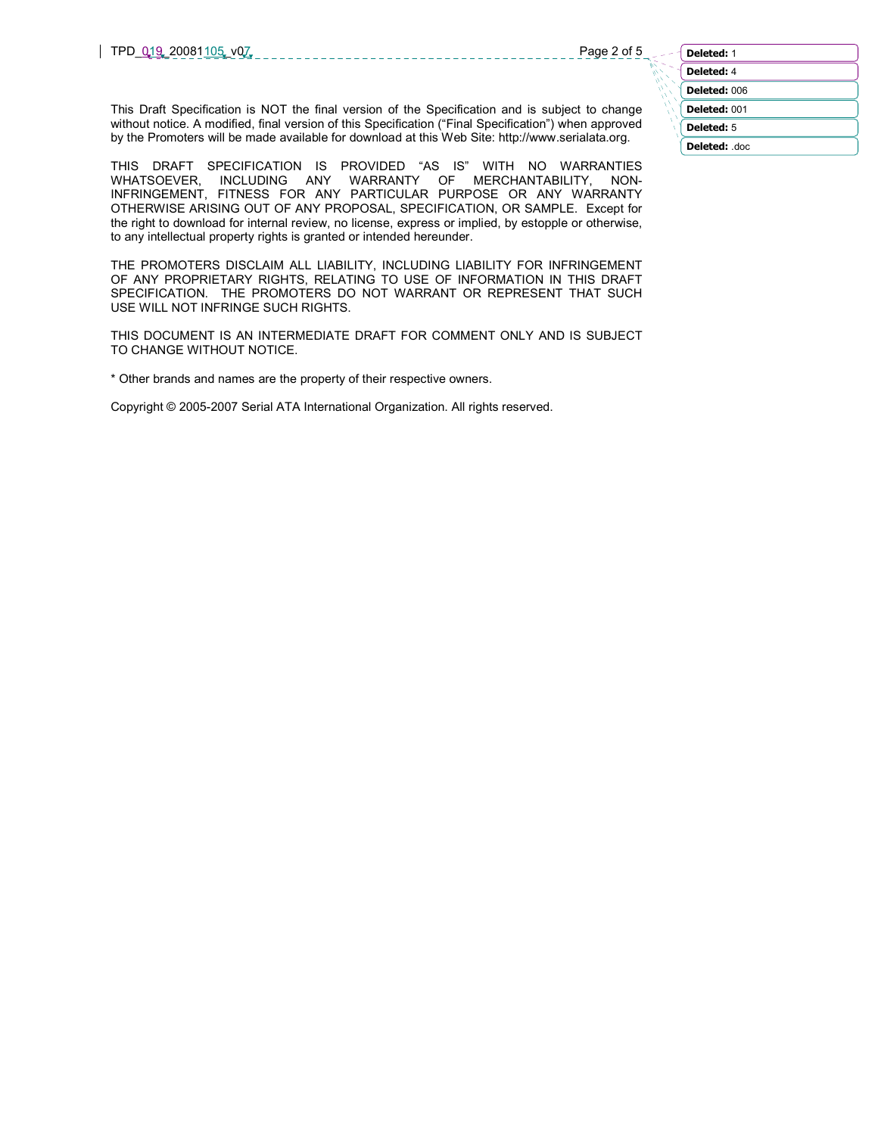| Deleted: 1   |
|--------------|
| Deleted: 4   |
| Deleted: 006 |
| Deleted: 001 |
| Deleted: 5   |
| Deleted: doc |

This Draft Specification is NOT the final version of the Specification and is subject to change without notice. A modified, final version of this Specification ("Final Specification") when approved by the Promoters will be made available for download at this Web Site: http://www.serialata.org.

THIS DRAFT SPECIFICATION IS PROVIDED "AS IS" WITH NO WARRANTIES WHATSOEVER, INCLUDING ANY WARRANTY OF MERCHANTABILITY, NON-INFRINGEMENT, FITNESS FOR ANY PARTICULAR PURPOSE OR ANY WARRANTY OTHERWISE ARISING OUT OF ANY PROPOSAL, SPECIFICATION, OR SAMPLE. Except for the right to download for internal review, no license, express or implied, by estopple or otherwise, to any intellectual property rights is granted or intended hereunder.

THE PROMOTERS DISCLAIM ALL LIABILITY, INCLUDING LIABILITY FOR INFRINGEMENT OF ANY PROPRIETARY RIGHTS, RELATING TO USE OF INFORMATION IN THIS DRAFT SPECIFICATION. THE PROMOTERS DO NOT WARRANT OR REPRESENT THAT SUCH USE WILL NOT INFRINGE SUCH RIGHTS.

THIS DOCUMENT IS AN INTERMEDIATE DRAFT FOR COMMENT ONLY AND IS SUBJECT TO CHANGE WITHOUT NOTICE.

\* Other brands and names are the property of their respective owners.

Copyright © 2005-2007 Serial ATA International Organization. All rights reserved.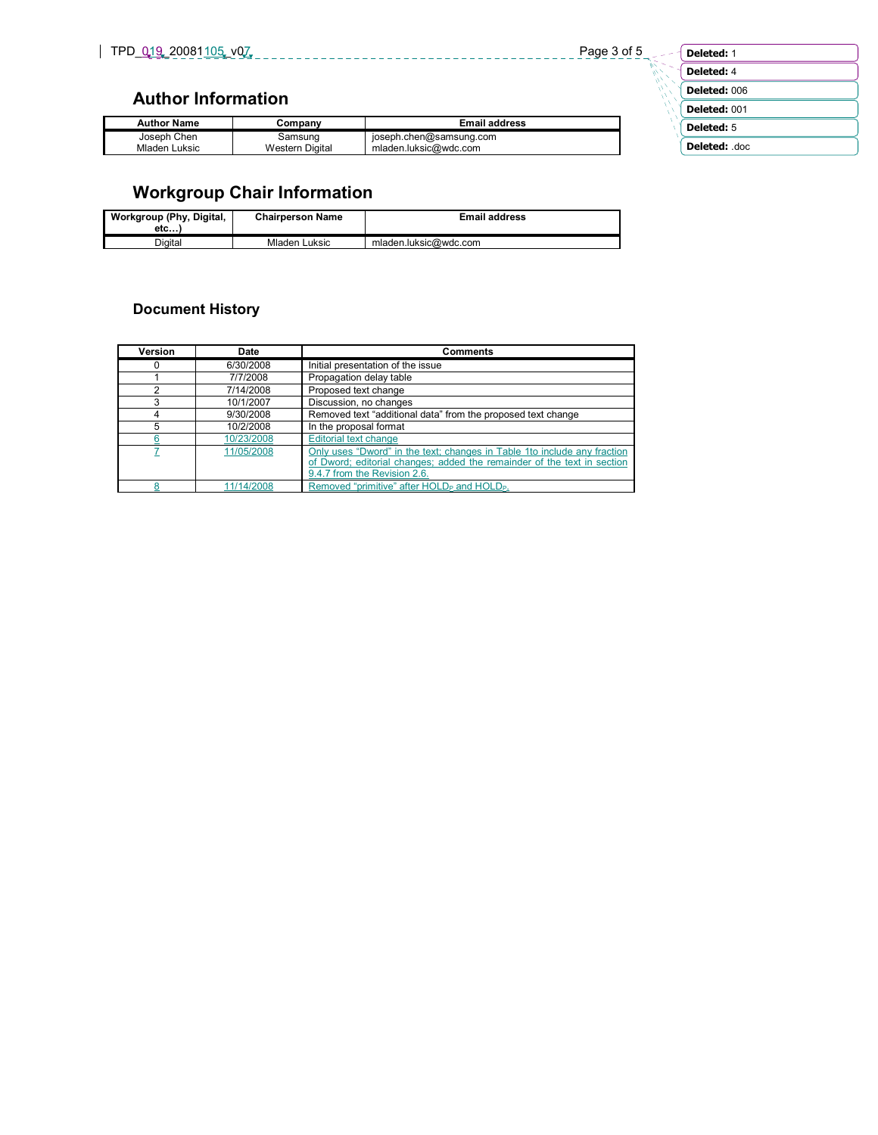**ANTIFICATION** 

## Author Information

| <b>Author Name</b> | Company                | <b>Email address</b>    |
|--------------------|------------------------|-------------------------|
| Joseph Chen        | Samsung                | joseph.chen@samsung.com |
| Mladen Luksic      | <b>Western Digital</b> | mladen.luksic@wdc.com   |

| Deleted: 1   |
|--------------|
| Deleted: 4   |
| Deleted: 006 |
| Deleted: 001 |
| Deleted: 5   |
| Deleted: doc |

# Workgroup Chair Information

| Workgroup (Phy, Digital,<br>etc | <b>Chairperson Name</b> | <b>Email address</b>  |
|---------------------------------|-------------------------|-----------------------|
| Diaital                         | Mladen Luksic           | mladen.luksic@wdc.com |

## Document History

| Version | <b>Date</b> | <b>Comments</b>                                                                                                                                                                     |
|---------|-------------|-------------------------------------------------------------------------------------------------------------------------------------------------------------------------------------|
|         | 6/30/2008   | Initial presentation of the issue                                                                                                                                                   |
|         | 7/7/2008    | Propagation delay table                                                                                                                                                             |
|         | 7/14/2008   | Proposed text change                                                                                                                                                                |
| 3       | 10/1/2007   | Discussion, no changes                                                                                                                                                              |
|         | 9/30/2008   | Removed text "additional data" from the proposed text change                                                                                                                        |
| 5       | 10/2/2008   | In the proposal format                                                                                                                                                              |
|         | 10/23/2008  | <b>Editorial text change</b>                                                                                                                                                        |
|         | 11/05/2008  | Only uses "Dword" in the text; changes in Table 1to include any fraction<br>of Dword; editorial changes; added the remainder of the text in section<br>9.4.7 from the Revision 2.6. |
|         | 11/14/2008  | Removed "primitive" after HOLD <sub>P</sub> and HOLD <sub>P</sub> .                                                                                                                 |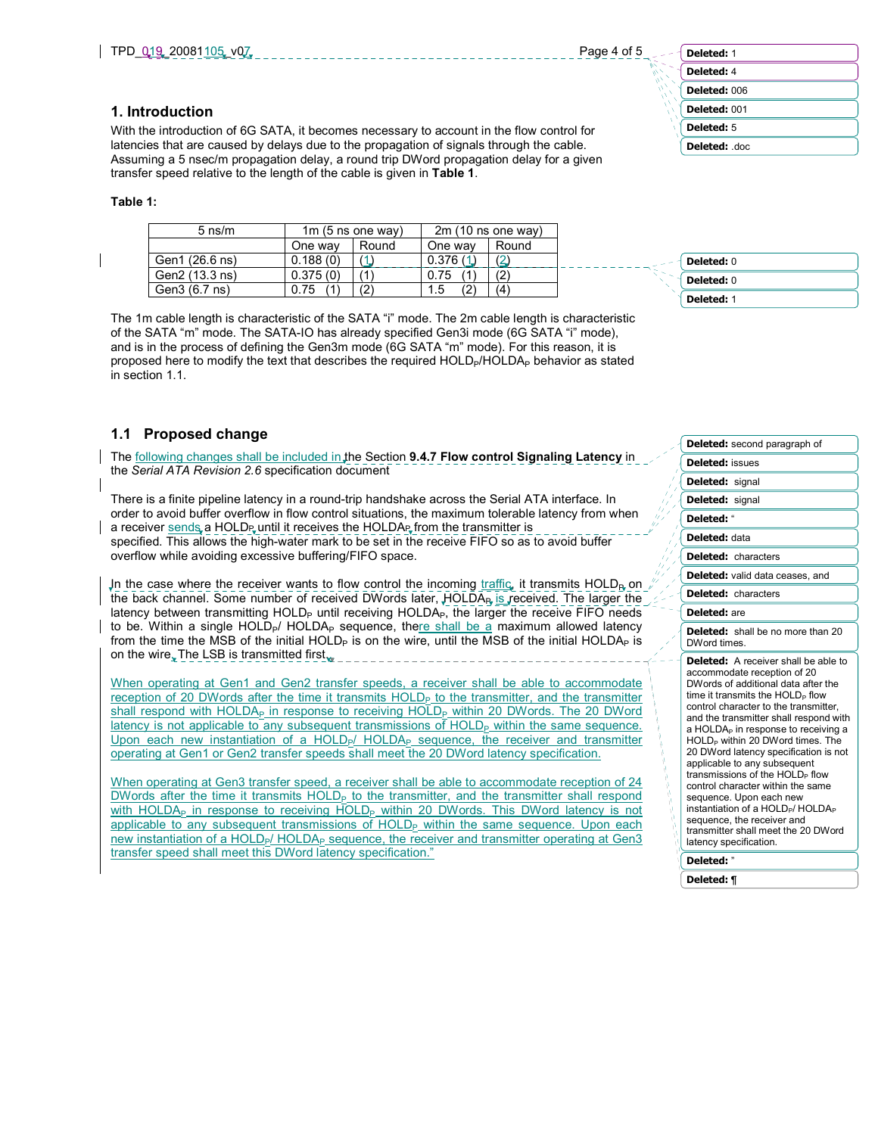## Deleted: 1 Deleted: 4 Deleted: 006 Deleted: 001 Deleted: 5 Deleted: .doc

### 1. Introduction

With the introduction of 6G SATA, it becomes necessary to account in the flow control for latencies that are caused by delays due to the propagation of signals through the cable. Assuming a 5 nsec/m propagation delay, a round trip DWord propagation delay for a given transfer speed relative to the length of the cable is given in Table 1.

### Table 1:

| $5 \text{ ns/m}$ | 1 $m$ (5 ns one way) |       | $2m(10 \text{ ns}$ one way) |       |
|------------------|----------------------|-------|-----------------------------|-------|
|                  | One way              | Round | One way                     | Round |
| Gen1 (26.6 ns)   | 0.188(0)             |       | 0.376(1)                    |       |
| Gen2 (13.3 ns)   | 0.375(0)             |       | 0.75                        |       |
| Gen3 (6.7 ns)    | 0.75                 |       | (2)<br>$1.5^{\circ}$        | '4'   |

The 1m cable length is characteristic of the SATA "i" mode. The 2m cable length is characteristic of the SATA "m" mode. The SATA-IO has already specified Gen3i mode (6G SATA "i" mode), and is in the process of defining the Gen3m mode (6G SATA "m" mode). For this reason, it is proposed here to modify the text that describes the required HOLD<sub>P</sub>/HOLDA<sub>P</sub> behavior as stated in section 1.1.

### 1.1 Proposed change

The following changes shall be included in the Section 9.4.7 Flow control Signaling Latency in the Serial ATA Revision 2.6 specification document

There is a finite pipeline latency in a round-trip handshake across the Serial ATA interface. In order to avoid buffer overflow in flow control situations, the maximum tolerable latency from when a receiver sends, a HOLDP, until it receives the HOLDAP, from the transmitter is specified. This allows the high-water mark to be set in the receive FIFO so as to avoid buffer overflow while avoiding excessive buffering/FIFO space.

In the case where the receiver wants to flow control the incoming traffic, it transmits  $HOLD<sub>B</sub>$  on the back channel. Some number of received DWords later,  $HOLDA<sub>B</sub>$  is received. The larger the latency between transmitting  $HOLD<sub>P</sub>$  until receiving  $HOLD<sub>P</sub>$ , the larger the receive FIFO needs to be. Within a single  $HOLD_{P}$ /  $HOLD_{P}$  sequence, there shall be a maximum allowed latency from the time the MSB of the initial HOLD<sub>P</sub> is on the wire, until the MSB of the initial HOLDA<sub>P</sub> is on the wire. The LSB is transmitted first.

When operating at Gen1 and Gen2 transfer speeds, a receiver shall be able to accommodate reception of 20 DWords after the time it transmits HOLD<sub>P</sub> to the transmitter, and the transmitter shall respond with HOLDA<sub>P</sub> in response to receiving HOLD<sub>P</sub> within 20 DWords. The 20 DWord  $latency$  is not applicable to any subsequent transmissions of  $HOLD<sub>P</sub>$  within the same sequence. Upon each new instantiation of a HOLD $_{P}$ / HOLD $A_{P}$  sequence, the receiver and transmitter operating at Gen1 or Gen2 transfer speeds shall meet the 20 DWord latency specification.

When operating at Gen3 transfer speed, a receiver shall be able to accommodate reception of 24 DWords after the time it transmits  $HOLD<sub>P</sub>$  to the transmitter, and the transmitter shall respond with HOLDA<sub>P</sub> in response to receiving HOLD<sub>P</sub> within 20 DWords. This DWord latency is not applicable to any subsequent transmissions of  $HOLD<sub>P</sub>$  within the same sequence. Upon each new instantiation of a HOLD<sub>P</sub>/HOLDA<sub>P</sub> sequence, the receiver and transmitter operating at Gen3 transfer speed shall meet this DWord latency specification."

| <b>Deleted: 0</b> |
|-------------------|
| Deleted: 0        |
| Deleted: 1        |

|                              | Deleted: second paragraph of                                                                                                                                                                                                                                                                                                                                                                                                                                                                                                                                                                                                                                                                        |
|------------------------------|-----------------------------------------------------------------------------------------------------------------------------------------------------------------------------------------------------------------------------------------------------------------------------------------------------------------------------------------------------------------------------------------------------------------------------------------------------------------------------------------------------------------------------------------------------------------------------------------------------------------------------------------------------------------------------------------------------|
|                              | <b>Deleted: issues</b>                                                                                                                                                                                                                                                                                                                                                                                                                                                                                                                                                                                                                                                                              |
|                              | Deleted: signal                                                                                                                                                                                                                                                                                                                                                                                                                                                                                                                                                                                                                                                                                     |
|                              | <b>Deleted:</b> signal                                                                                                                                                                                                                                                                                                                                                                                                                                                                                                                                                                                                                                                                              |
|                              | Deleted: "                                                                                                                                                                                                                                                                                                                                                                                                                                                                                                                                                                                                                                                                                          |
|                              | Deleted: data                                                                                                                                                                                                                                                                                                                                                                                                                                                                                                                                                                                                                                                                                       |
|                              | <b>Deleted:</b> characters                                                                                                                                                                                                                                                                                                                                                                                                                                                                                                                                                                                                                                                                          |
|                              | Deleted: valid data ceases, and                                                                                                                                                                                                                                                                                                                                                                                                                                                                                                                                                                                                                                                                     |
|                              | <b>Deleted:</b> characters                                                                                                                                                                                                                                                                                                                                                                                                                                                                                                                                                                                                                                                                          |
|                              | Deleted: are                                                                                                                                                                                                                                                                                                                                                                                                                                                                                                                                                                                                                                                                                        |
|                              | <b>Deleted:</b> shall be no more than 20<br>DWord times.                                                                                                                                                                                                                                                                                                                                                                                                                                                                                                                                                                                                                                            |
| Ø<br>Ñ<br>$\mathcal{N}$<br>Ą | Deleted: A receiver shall be able to<br>accommodate reception of 20<br>DWords of additional data after the<br>time it transmits the HOLD <sub>p</sub> flow<br>control character to the transmitter,<br>and the transmitter shall respond with<br>a HOLDA <sub>P</sub> in response to receiving a<br>HOLD <sub>p</sub> within 20 DWord times. The<br>20 DWord latency specification is not<br>applicable to any subsequent<br>transmissions of the HOLD <sub>P</sub> flow<br>control character within the same<br>sequence. Upon each new<br>instantiation of a HOLD <sub>P</sub> /HOLDA <sub>P</sub><br>sequence, the receiver and<br>transmitter shall meet the 20 DWord<br>latency specification. |
|                              | Deleted:"                                                                                                                                                                                                                                                                                                                                                                                                                                                                                                                                                                                                                                                                                           |
|                              |                                                                                                                                                                                                                                                                                                                                                                                                                                                                                                                                                                                                                                                                                                     |